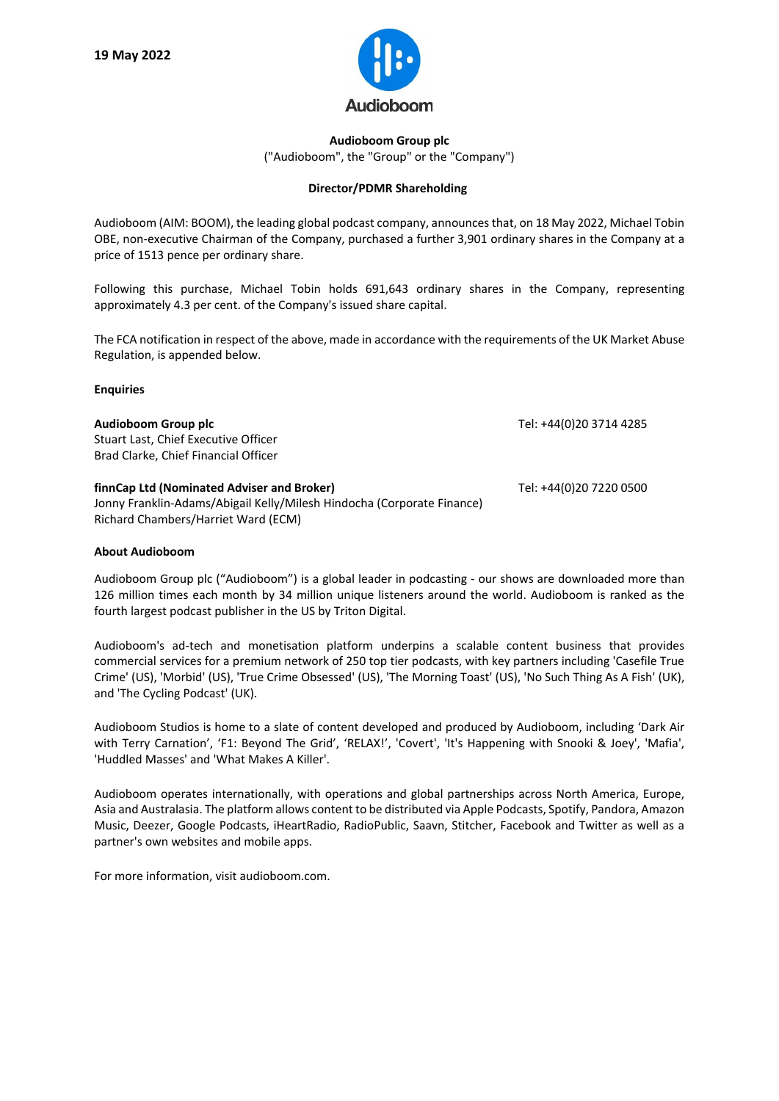

## **Audioboom Group plc** ("Audioboom", the "Group" or the "Company")

## **Director/PDMR Shareholding**

Audioboom (AIM: BOOM), the leading global podcast company, announces that, on 18 May 2022, Michael Tobin OBE, non-executive Chairman of the Company, purchased a further 3,901 ordinary shares in the Company at a price of 1513 pence per ordinary share.

Following this purchase, Michael Tobin holds 691,643 ordinary shares in the Company, representing approximately 4.3 per cent. of the Company's issued share capital.

The FCA notification in respect of the above, made in accordance with the requirements of the UK Market Abuse Regulation, is appended below.

## **Enquiries**

| Audioboom Group plc<br>Stuart Last, Chief Executive Officer<br>Brad Clarke, Chief Financial Officer                                                         | Tel: +44(0)20 3714 4285 |
|-------------------------------------------------------------------------------------------------------------------------------------------------------------|-------------------------|
| finnCap Ltd (Nominated Adviser and Broker)<br>Jonny Franklin-Adams/Abigail Kelly/Milesh Hindocha (Corporate Finance)<br>Richard Chambers/Harriet Ward (ECM) | Tel: +44(0)20 7220 0500 |

## **About Audioboom**

Audioboom Group plc ("Audioboom") is a global leader in podcasting - our shows are downloaded more than 126 million times each month by 34 million unique listeners around the world. Audioboom is ranked as the fourth largest podcast publisher in the US by Triton Digital.

Audioboom's ad-tech and monetisation platform underpins a scalable content business that provides commercial services for a premium network of 250 top tier podcasts, with key partners including 'Casefile True Crime' (US), 'Morbid' (US), 'True Crime Obsessed' (US), 'The Morning Toast' (US), 'No Such Thing As A Fish' (UK), and 'The Cycling Podcast' (UK).

Audioboom Studios is home to a slate of content developed and produced by Audioboom, including 'Dark Air with Terry Carnation', 'F1: Beyond The Grid', 'RELAX!', 'Covert', 'It's Happening with Snooki & Joey', 'Mafia', 'Huddled Masses' and 'What Makes A Killer'.

Audioboom operates internationally, with operations and global partnerships across North America, Europe, Asia and Australasia. The platform allows content to be distributed via Apple Podcasts, Spotify, Pandora, Amazon Music, Deezer, Google Podcasts, iHeartRadio, RadioPublic, Saavn, Stitcher, Facebook and Twitter as well as a partner's own websites and mobile apps.

For more information, visit audioboom.com.